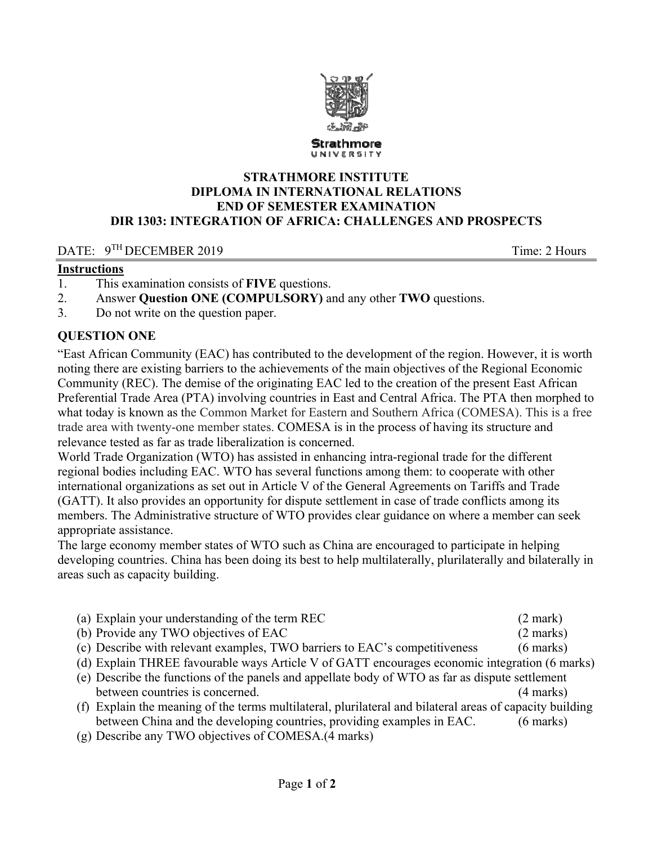

#### **STRATHMORE INSTITUTE DIPLOMA IN INTERNATIONAL RELATIONS END OF SEMESTER EXAMINATION DIR 1303: INTEGRATION OF AFRICA: CHALLENGES AND PROSPECTS**

### DATE:  $9^{TH}$  DECEMBER 2019 Time: 2 Hours

## **Instructions**

- 1. This examination consists of **FIVE** questions.
- 2. Answer **Question ONE (COMPULSORY)** and any other **TWO** questions.
- 3. Do not write on the question paper.

### **QUESTION ONE**

"East African Community (EAC) has contributed to the development of the region. However, it is worth noting there are existing barriers to the achievements of the main objectives of the Regional Economic Community (REC). The demise of the originating EAC led to the creation of the present East African Preferential Trade Area (PTA) involving countries in East and Central Africa. The PTA then morphed to what today is known as the Common Market for Eastern and Southern Africa (COMESA). This is a free trade area with twenty-one member states. COMESA is in the process of having its structure and relevance tested as far as trade liberalization is concerned.

World Trade Organization (WTO) has assisted in enhancing intra-regional trade for the different regional bodies including EAC. WTO has several functions among them: to cooperate with other international organizations as set out in Article V of the General Agreements on Tariffs and Trade (GATT). It also provides an opportunity for dispute settlement in case of trade conflicts among its members. The Administrative structure of WTO provides clear guidance on where a member can seek appropriate assistance.

The large economy member states of WTO such as China are encouraged to participate in helping developing countries. China has been doing its best to help multilaterally, plurilaterally and bilaterally in areas such as capacity building.

| (a) Explain your understanding of the term REC                                                           | $(2$ mark)          |
|----------------------------------------------------------------------------------------------------------|---------------------|
| (b) Provide any TWO objectives of EAC                                                                    | $(2 \text{ marks})$ |
| (c) Describe with relevant examples, TWO barriers to EAC's competitiveness                               | $(6$ marks)         |
| (d) Explain THREE favourable ways Article V of GATT encourages economic integration (6 marks)            |                     |
| (e) Describe the functions of the panels and appellate body of WTO as far as dispute settlement          |                     |
| between countries is concerned.                                                                          | $(4 \text{ marks})$ |
| (f) Explain the meaning of the terms multilateral, plurilateral and bilateral areas of capacity building |                     |

between China and the developing countries, providing examples in EAC. (6 marks) (g) Describe any TWO objectives of COMESA.(4 marks)